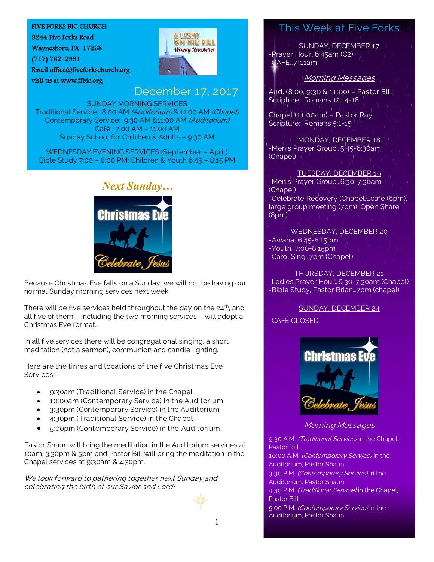#### FIVE FORKS BIC CHURCH

9244 Five Forks Road

Waynesboro, PA 17268

(717) 762-2991

Email [office@fiveforkschurch.org](mailto:office@fiveforkschurch.org)  visit us a[t www.ffbic.org](http://www.ffbic.org/) 



## December 17, 2017

**ALIGHT** ON THE HILL **Weekly Newsletter** 

SUNDAY MORNING SERVICES Traditional Service: 8:00 AM (Auditorium) & 11:00 AM (Chapel) Contemporary Service: 9:30 AM &11:00 AM (Auditorium) Café: 7:00 AM – 11:00 AM Sunday School for Children & Adults – 9:30 AM

WEDNESDAY EVENING SERVICES (September – April) Bible Study 7:00 – 8:00 PM; Children & Youth 6:45 – 8:15 PM



Because Christmas Eve falls on a Sunday, we will not be having our normal Sunday morning services next week.

There will be five services held throughout the day on the  $24<sup>th</sup>$ , and all five of them – including the two morning services – will adopt a Christmas Eve format.

In all five services there will be congregational singing, a short meditation (not a sermon), communion and candle lighting.

Here are the times and locations of the five Christmas Eve Services:

- 9:30am (Traditional Service) in the Chapel
- 10:00am (Contemporary Service) in the Auditorium
- 3:30pm (Contemporary Service) in the Auditorium
- 4:30pm (Traditional Service) in the Chapel
- 5:00pm (Contemporary Service) in the Auditorium

Pastor Shaun will bring the meditation in the Auditorium services at 10am, 3:30pm & 5pm and Pastor Bill will bring the meditation in the Chapel services at 9:30am & 4:30pm.

We look forward to gathering together next Sunday and celebrating the birth of our Savior and Lord!

# This Week at Five Forks

SUNDAY, DECEMBER 17 -Prayer Hour…6:45am (C2)  $-CAFE...7-11am$ 

Morning Messages

Aud. (8:00, 9:30 & 11:00) – Pastor Bill Scripture: Romans 12:14-18

Chapel (11:00am) – Pastor Ray Scripture: Romans 5:1-15

MONDAY, DECEMBER 18 -Men's Prayer Group…5:45-6:30am (Chapel)

TUESDAY, DECEMBER 19 -Men's Prayer Group…6:30-7:30am (Chapel) -Celebrate Recovery (Chapel)…café (6pm), large group meeting (7pm), Open Share (8pm)

WEDNESDAY, DECEMBER 20 -Awana…6:45-8:15pm -Youth…7:00-8:15pm -Carol Sing…7pm (Chapel)

THURSDAY, DECEMBER 21 -Ladies Prayer Hour…6:30-7:30am (Chapel) -Bible Study, Pastor Brian…7pm (chapel)

SUNDAY, DECEMBER 24

### -CAFÉ CLOSED



Morning Messages

9:30 A.M. (Traditional Service) in the Chapel, Pastor Bill

10:00 A.M. (Contemporary Service) in the Auditorium, Pastor Shaun

3:30 P.M. (Contemporary Service) in the

Auditorium, Pastor Shaun

4:30 P.M. (Traditional Service) in the Chapel, Pastor Bill

5:00 P.M. (Contemporary Service) in the Auditorium, Pastor Shaun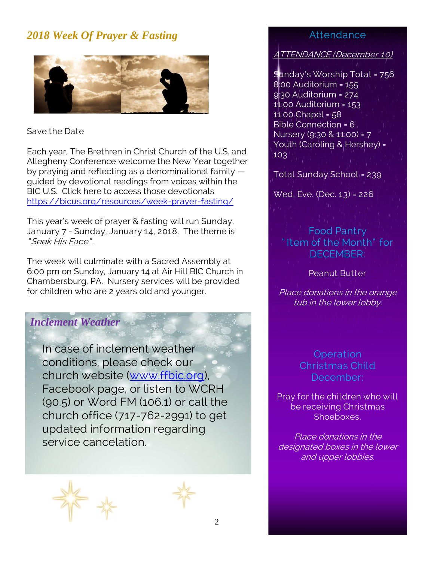# *2018 Week Of Prayer & Fasting*



## Save the Date

Each year, The Brethren in Christ Church of the U.S. and Allegheny Conference welcome the New Year together by praying and reflecting as a denominational family guided by devotional readings from voices within the BIC U.S. Click here to access those devotionals: <https://bicus.org/resources/week-prayer-fasting/>

This year's week of prayer & fasting will run Sunday, January 7 - Sunday, January 14, 2018. The theme is " Seek His Face" .

The week will culminate with a Sacred Assembly at 6:00 pm on Sunday, January 14 at Air Hill BIC Church in Chambersburg, PA. Nursery services will be provided for children who are 2 years old and younger.

## *Inclement Weather*

In case of inclement weather conditions, please check our church website [\(www.ffbic.org\)](http://www.ffbic.org/), Facebook page, or listen to WCRH (90.5) or Word FM (106.1) or call the church office (717-762-2991) to get updated information regarding service cancelation.



## Attendance

#### ATTENDANCE (December 10)

Sunday's Worship Total = 756 8:00 Auditorium = 155 9:30 Auditorium = 274 11:00 Auditorium = 153 11:00 Chapel = 58 Bible Connection = 6 Nursery (9:30 & 11:00) = 7 Youth (Caroling & Hershey) = 103

Total Sunday School = 239

Wed. Eve. (Dec. 13) = 226

# Food Pantry " Item of the Month" for DECEMBER:

### Peanut Butter

Place donations in the orange tub in the lower lobby.

## Operation Christmas Child December:

Pray for the children who will be receiving Christmas Shoeboxes.

Place donations in the designated boxes in the lower and upper lobbies.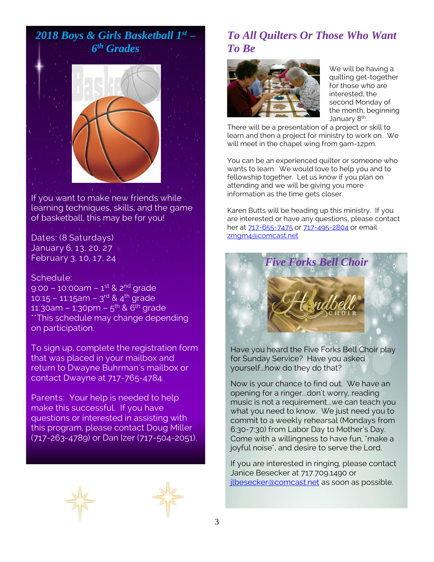

If you want to make new friends while learning techniques, skills, and the game of basketball, this may be for you!

### Dates: (8 Saturdays) January 6, 13, 20, 27 February 3, 10, 17, 24

#### Schedule:

9:00 – 10:00am – 1<sup>st</sup> & 2<sup>nd</sup> grade 10:15 – 11:15am – 3<sup>rd</sup> & 4<sup>th</sup> grade 11:30am – 1:30pm – 5<sup>th</sup> & 6<sup>th</sup> grade \*\*This schedule may change depending on participation.

To sign up, complete the registration form that was placed in your mailbox and return to Dwayne Buhrman's mailbox or contact Dwayne at 717-765-4784.

Parents: Your help is needed to help make this successful. If you have questions or interested in assisting with this program, please contact Doug Miller (717-263-4789) or Dan Izer (717-504-2051).





## *To All Quilters Or Those Who Want To Be*



We will be having a quilting get-together for those who are interested, the second Monday of the month, beginning January 8<sup>th</sup>. .

There will be a presentation of a project or skill to learn and then a project for ministry to work on. We will meet in the chapel wing from 9am-12pm.

You can be an experienced quilter or someone who wants to learn. We would love to help you and to fellowship together. Let us know if you plan on attending and we will be giving you more information as the time gets closer.

Karen Butts will be heading up this ministry. If you are interested or have any questions, please contact her at [717-655-7475](tel:(717)%20655-7475) or [717-495-2804](tel:(717)%20495-2804) or email [zmgm4@comcast.net](mailto:zmgm4@comcast.net)



Have you heard the Five Forks Bell Choir play for Sunday Service? Have you asked yourself...how do they do that?

Now is your chance to find out. We have an opening for a ringer...don't worry, reading music is not a requirement...we can teach you what you need to know. We just need you to commit to a weekly rehearsal (Mondays from 6:30-7:30) from Labor Day to Mother's Day. Come with a willingness to have fun, "make a joyful noise", and desire to serve the Lord.

If you are interested in ringing, please contact Janice Besecker at 717.709.1490 or ilbesecker@comcast.net as soon as possible.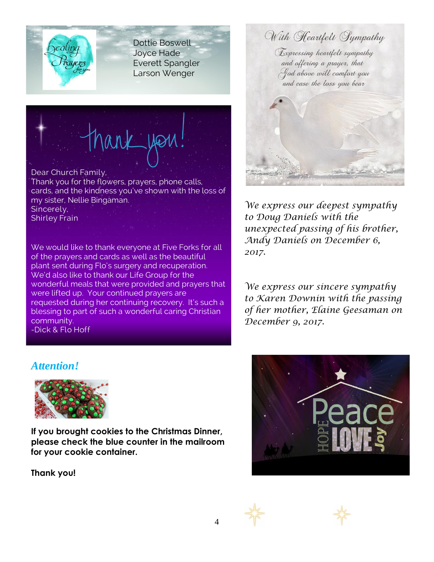

Dottie Boswell Joyce Hade Everett Spangler Larson Wenger

# ank you

#### Dear Church Family,

Thank you for the flowers, prayers, phone calls, cards, and the kindness you've shown with the loss of my sister, Nellie Bingaman. Sincerely, Shirley Frain

We would like to thank everyone at Five Forks for all of the prayers and cards as well as the beautiful plant sent during Flo's surgery and recuperation. We'd also like to thank our Life Group for the wonderful meals that were provided and prayers that were lifted up. Your continued prayers are requested during her continuing recovery. It's such a blessing to part of such a wonderful caring Christian community. -Dick & Flo Hoff

With Heartfelt Sympathy

Expressing heartfelt sympathy and offering a prayer, that God above will comfort you and ease the loss you bear



*We express our deepest sympathy to Doug Daniels with the unexpected passing of his brother, Andy Daniels on December 6, 2017.*

*We express our sincere sympathy to Karen Downin with the passing of her mother, Elaine Geesaman on December 9, 2017.*

## *Attention!*



**If you brought cookies to the Christmas Dinner, please check the blue counter in the mailroom for your cookie container.**

**Thank you!**